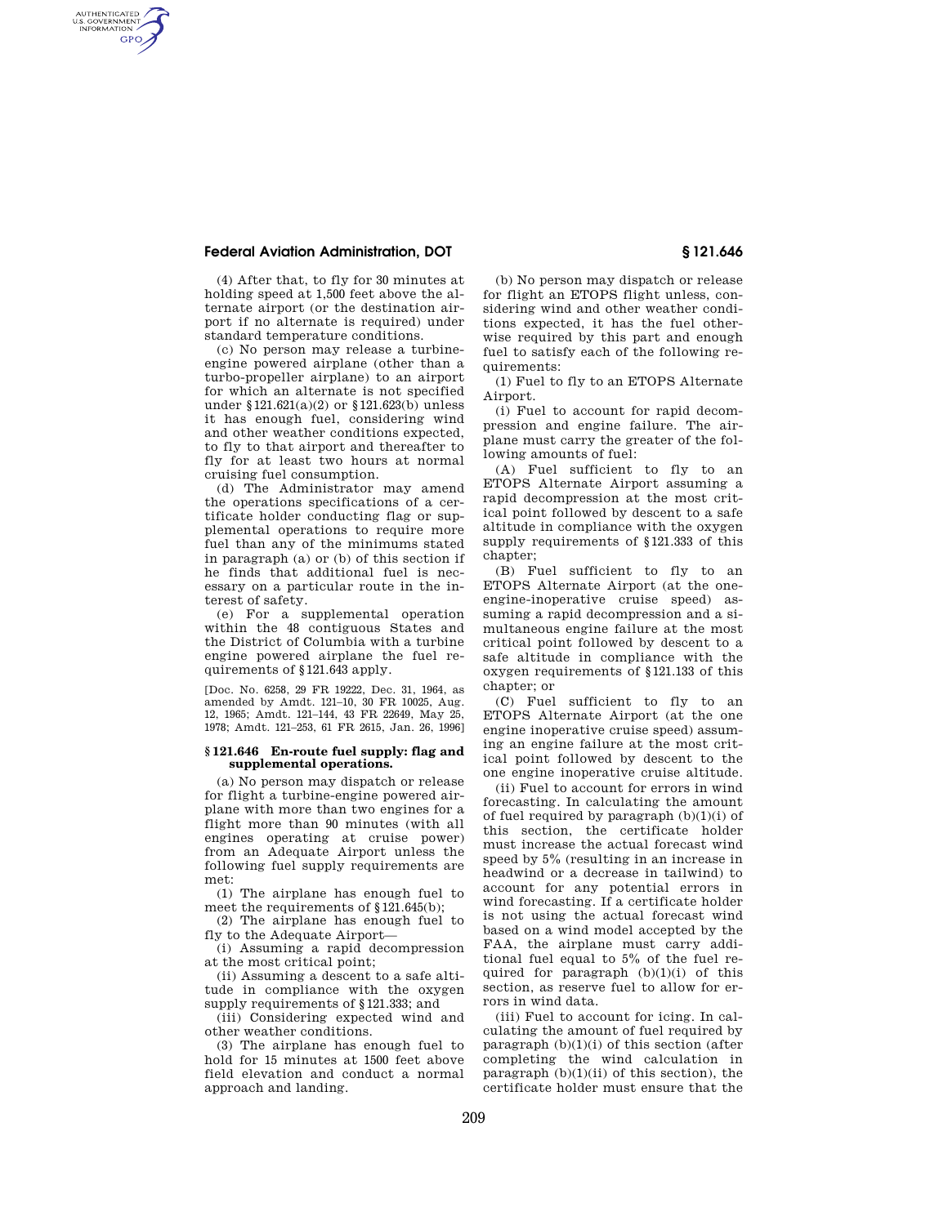## **Federal Aviation Administration, DOT § 121.646**

AUTHENTICATED<br>U.S. GOVERNMENT<br>INFORMATION **GPO** 

> (4) After that, to fly for 30 minutes at holding speed at 1,500 feet above the alternate airport (or the destination airport if no alternate is required) under standard temperature conditions.

> (c) No person may release a turbineengine powered airplane (other than a turbo-propeller airplane) to an airport for which an alternate is not specified under §121.621(a)(2) or §121.623(b) unless it has enough fuel, considering wind and other weather conditions expected, to fly to that airport and thereafter to fly for at least two hours at normal cruising fuel consumption.

> (d) The Administrator may amend the operations specifications of a certificate holder conducting flag or supplemental operations to require more fuel than any of the minimums stated in paragraph (a) or (b) of this section if he finds that additional fuel is necessary on a particular route in the interest of safety.

> (e) For a supplemental operation within the 48 contiguous States and the District of Columbia with a turbine engine powered airplane the fuel requirements of §121.643 apply.

> [Doc. No. 6258, 29 FR 19222, Dec. 31, 1964, as amended by Amdt. 121–10, 30 FR 10025, Aug. 12, 1965; Amdt. 121–144, 43 FR 22649, May 25, 1978; Amdt. 121–253, 61 FR 2615, Jan. 26, 1996]

### **§ 121.646 En-route fuel supply: flag and supplemental operations.**

(a) No person may dispatch or release for flight a turbine-engine powered airplane with more than two engines for a flight more than 90 minutes (with all engines operating at cruise power) from an Adequate Airport unless the following fuel supply requirements are met:

(1) The airplane has enough fuel to meet the requirements of §121.645(b);

(2) The airplane has enough fuel to fly to the Adequate Airport—

(i) Assuming a rapid decompression at the most critical point;

(ii) Assuming a descent to a safe altitude in compliance with the oxygen supply requirements of §121.333; and

(iii) Considering expected wind and other weather conditions.

(3) The airplane has enough fuel to hold for 15 minutes at 1500 feet above field elevation and conduct a normal approach and landing.

(b) No person may dispatch or release for flight an ETOPS flight unless, considering wind and other weather conditions expected, it has the fuel otherwise required by this part and enough fuel to satisfy each of the following requirements:

(1) Fuel to fly to an ETOPS Alternate Airport.

(i) Fuel to account for rapid decompression and engine failure. The airplane must carry the greater of the following amounts of fuel:

(A) Fuel sufficient to fly to an ETOPS Alternate Airport assuming a rapid decompression at the most critical point followed by descent to a safe altitude in compliance with the oxygen supply requirements of §121.333 of this chapter;

(B) Fuel sufficient to fly to an ETOPS Alternate Airport (at the oneengine-inoperative cruise speed) assuming a rapid decompression and a simultaneous engine failure at the most critical point followed by descent to a safe altitude in compliance with the oxygen requirements of §121.133 of this chapter; or

(C) Fuel sufficient to fly to an ETOPS Alternate Airport (at the one engine inoperative cruise speed) assuming an engine failure at the most critical point followed by descent to the one engine inoperative cruise altitude.

(ii) Fuel to account for errors in wind forecasting. In calculating the amount of fuel required by paragraph  $(b)(1)(i)$  of this section, the certificate holder must increase the actual forecast wind speed by 5% (resulting in an increase in headwind or a decrease in tailwind) to account for any potential errors in wind forecasting. If a certificate holder is not using the actual forecast wind based on a wind model accepted by the FAA, the airplane must carry additional fuel equal to 5% of the fuel required for paragraph  $(b)(1)(i)$  of this section, as reserve fuel to allow for errors in wind data.

(iii) Fuel to account for icing. In calculating the amount of fuel required by paragraph  $(b)(1)(i)$  of this section (after completing the wind calculation in paragraph  $(b)(1)(ii)$  of this section), the certificate holder must ensure that the